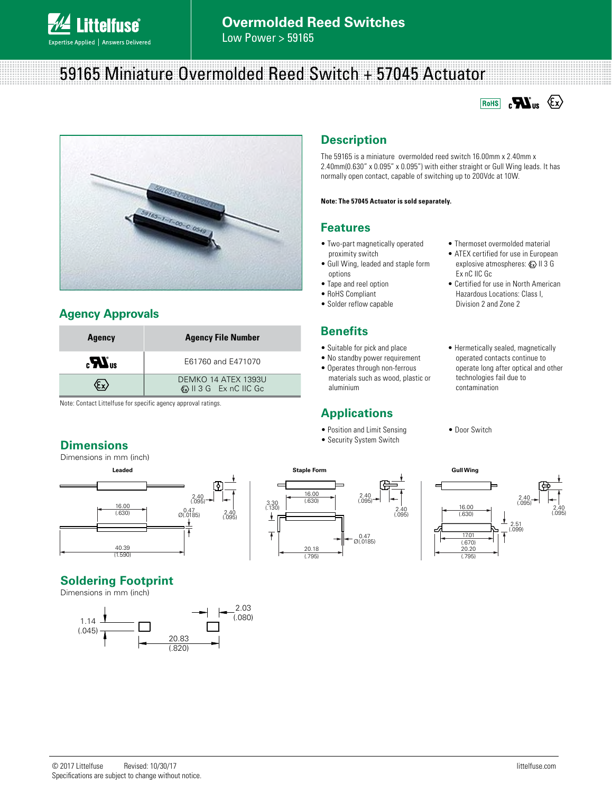

# 59165 Miniature Overmolded Reed Switch + 57045 Actuator





### **Agency Approvals**

| <b>Agency</b>            | <b>Agency File Number</b>                                      |  |  |  |
|--------------------------|----------------------------------------------------------------|--|--|--|
| $\mathbf{u}^{\text{us}}$ | E61760 and E471070                                             |  |  |  |
|                          | DEMKO 14 ATEX 1393U<br>$\langle x \rangle$ II 3 G Ex nC IIC Gc |  |  |  |

Note: Contact Littelfuse for specific agency approval ratings.

#### **Dimensions**

Dimensions in mm (inch)



## **Soldering Footprint**

Dimensions in mm (inch)



# **Description**

The 59165 is a miniature overmolded reed switch 16.00mm x 2.40mm x 2.40mm(0.630" x 0.095" x 0.095") with either straight or Gull Wing leads. It has normally open contact, capable of switching up to 200Vdc at 10W.

#### **Note: The 57045 Actuator is sold separately.**

#### **Features**

- Two-part magnetically operated proximity switch
- Gull Wing, leaded and staple form options
- Tape and reel option
- RoHS Compliant
- Solder reflow capable

#### **Benefits**

- Suitable for pick and place
- No standby power requirement
- Operates through non-ferrous materials such as wood, plastic or aluminium

2.40 (.095)

#### **Applications**

- Position and Limit Sensing
- Security System Switch
- 

2.40

 $0.47$   $0.0185$ 

16.00 (.630)

20.18 (.795)

 $\overline{1}$ 

- Thermoset overmolded material
- ATEX certified for use in European explosive atmospheres:  $\langle x \rangle$  II 3 G Ex nC IIC Gc
- Certified for use in North American Hazardous Locations: Class I, Division 2 and Zone 2
- Hermetically sealed, magnetically operated contacts continue to operate long after optical and other technologies fail due to contamination
- Door Switch

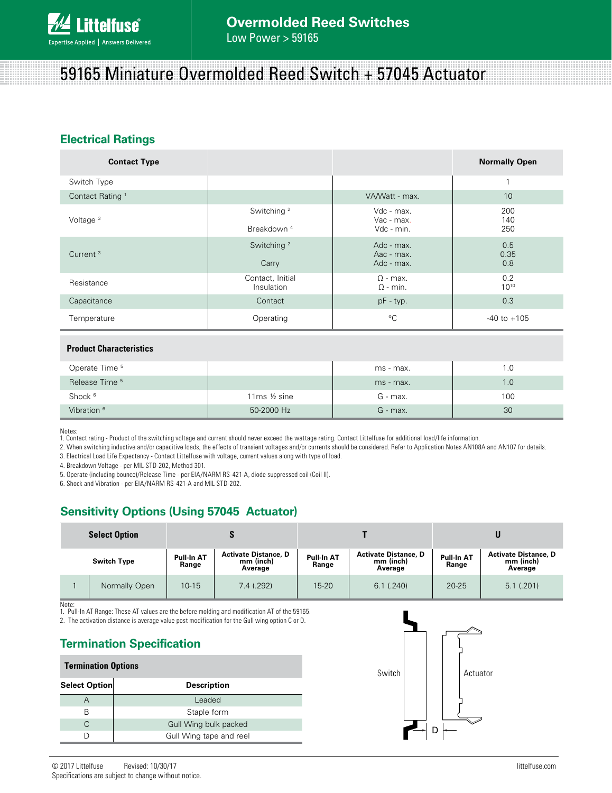# 59165 Miniature Overmolded Reed Switch + 57045 Actuator

## **Electrical Ratings**

| <b>Contact Type</b>            |                                                  |                                        | <b>Normally Open</b> |  |  |
|--------------------------------|--------------------------------------------------|----------------------------------------|----------------------|--|--|
| Switch Type                    |                                                  |                                        | -1                   |  |  |
| Contact Rating <sup>1</sup>    |                                                  | VA/Watt - max.                         | 10                   |  |  |
| Voltage $3$                    | Switching <sup>2</sup><br>Breakdown <sup>4</sup> | Vdc - max.<br>Vac - max.<br>Vdc - min. | 200<br>140<br>250    |  |  |
| Current <sup>3</sup>           | Switching <sup>2</sup><br>Carry                  | Adc - max.<br>Aac - max.<br>Adc - max. | 0.5<br>0.35<br>0.8   |  |  |
| Resistance                     | Contact, Initial<br>Insulation                   | $\Omega$ - max.<br>$\Omega$ - min.     | 0.2<br>$10^{10}$     |  |  |
| Capacitance                    | Contact                                          | $pF - typ.$                            | 0.3                  |  |  |
| Temperature                    | Operating                                        | $^{\circ}C$                            | $-40$ to $+105$      |  |  |
| <b>Product Characteristics</b> |                                                  |                                        |                      |  |  |

| Operate Time <sup>5</sup> |                            | ms - max.  | 1.0 |
|---------------------------|----------------------------|------------|-----|
| Release Time <sup>5</sup> |                            | ms - max.  | 1.0 |
| Shock <sup>6</sup>        | 11 $ms$ $\frac{1}{2}$ sine | G - max.   | 100 |
| Vibration <sup>6</sup>    | 50-2000 Hz                 | $G$ - max. | 30  |

Notes:

1. Contact rating - Product of the switching voltage and current should never exceed the wattage rating. Contact Littelfuse for additional load/life information.

2. When switching inductive and/or capacitive loads, the effects of transient voltages and/or currents should be considered. Refer to Application Notes AN108A and AN107 for details.

3. Electrical Load Life Expectancy - Contact Littelfuse with voltage, current values along with type of load.

4. Breakdown Voltage - per MIL-STD-202, Method 301.

5. Operate (including bounce)/Release Time - per EIA/NARM RS-421-A, diode suppressed coil (Coil II).

6. Shock and Vibration - per EIA/NARM RS-421-A and MIL-STD-202.

## **Sensitivity Options (Using 57045 Actuator)**

| <b>Select Option</b> |               |                            |                                                     |                            |                                                     |                     |                                                     |  |
|----------------------|---------------|----------------------------|-----------------------------------------------------|----------------------------|-----------------------------------------------------|---------------------|-----------------------------------------------------|--|
| <b>Switch Type</b>   |               | <b>Pull-In AT</b><br>Range | <b>Activate Distance, D</b><br>mm (inch)<br>Average | <b>Pull-In AT</b><br>Range | <b>Activate Distance, D</b><br>mm (inch)<br>Average | Pull-In AT<br>Range | <b>Activate Distance, D</b><br>mm (inch)<br>Average |  |
|                      | Normally Open | $10 - 15$                  | 7.4 (.292)                                          | $15 - 20$                  | $6.1$ $(.240)$                                      | $20 - 25$           | 5.1(.201)                                           |  |

Note: 1. Pull-In AT Range: These AT values are the before molding and modification AT of the 59165.

2. The activation distance is average value post modification for the Gull wing option C or D.

#### **Termination Specification**

#### **Termination Options**

| Select Option | <b>Description</b>      |
|---------------|-------------------------|
|               | Leaded                  |
| R             | Staple form             |
|               | Gull Wing bulk packed   |
|               | Gull Wing tape and reel |